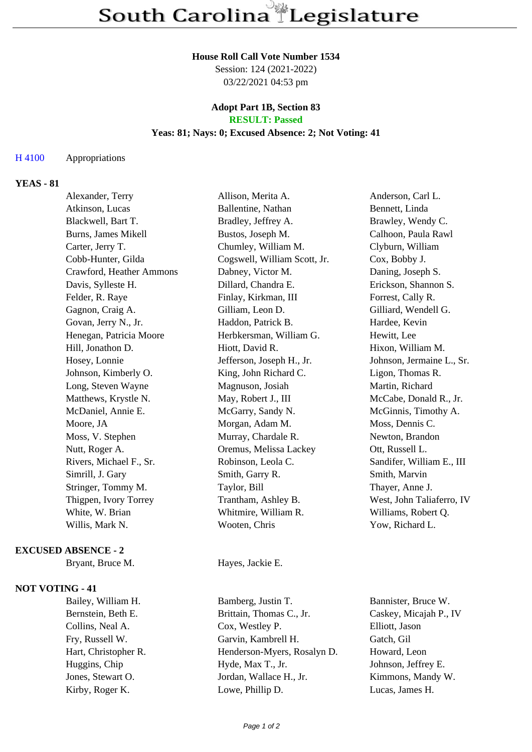#### **House Roll Call Vote Number 1534**

Session: 124 (2021-2022) 03/22/2021 04:53 pm

#### **Adopt Part 1B, Section 83 RESULT: Passed**

### **Yeas: 81; Nays: 0; Excused Absence: 2; Not Voting: 41**

### H 4100 Appropriations

# **YEAS - 81**

| Alexander, Terry         | Allison, Merita A.           | Anderson, Carl L.         |
|--------------------------|------------------------------|---------------------------|
| Atkinson, Lucas          | Ballentine, Nathan           | Bennett, Linda            |
| Blackwell, Bart T.       | Bradley, Jeffrey A.          | Brawley, Wendy C.         |
| Burns, James Mikell      | Bustos, Joseph M.            | Calhoon, Paula Rawl       |
| Carter, Jerry T.         | Chumley, William M.          | Clyburn, William          |
| Cobb-Hunter, Gilda       | Cogswell, William Scott, Jr. | Cox, Bobby J.             |
| Crawford, Heather Ammons | Dabney, Victor M.            | Daning, Joseph S.         |
| Davis, Sylleste H.       | Dillard, Chandra E.          | Erickson, Shannon S.      |
| Felder, R. Raye          | Finlay, Kirkman, III         | Forrest, Cally R.         |
| Gagnon, Craig A.         | Gilliam, Leon D.             | Gilliard, Wendell G.      |
| Govan, Jerry N., Jr.     | Haddon, Patrick B.           | Hardee, Kevin             |
| Henegan, Patricia Moore  | Herbkersman, William G.      | Hewitt, Lee               |
| Hill, Jonathon D.        | Hiott, David R.              | Hixon, William M.         |
| Hosey, Lonnie            | Jefferson, Joseph H., Jr.    | Johnson, Jermaine L., Sr. |
| Johnson, Kimberly O.     | King, John Richard C.        | Ligon, Thomas R.          |
| Long, Steven Wayne       | Magnuson, Josiah             | Martin, Richard           |
| Matthews, Krystle N.     | May, Robert J., III          | McCabe, Donald R., Jr.    |
| McDaniel, Annie E.       | McGarry, Sandy N.            | McGinnis, Timothy A.      |
| Moore, JA                | Morgan, Adam M.              | Moss, Dennis C.           |
| Moss, V. Stephen         | Murray, Chardale R.          | Newton, Brandon           |
| Nutt, Roger A.           | Oremus, Melissa Lackey       | Ott, Russell L.           |
| Rivers, Michael F., Sr.  | Robinson, Leola C.           | Sandifer, William E., III |
| Simrill, J. Gary         | Smith, Garry R.              | Smith, Marvin             |
| Stringer, Tommy M.       | Taylor, Bill                 | Thayer, Anne J.           |
| Thigpen, Ivory Torrey    | Trantham, Ashley B.          | West, John Taliaferro, IV |
| White, W. Brian          | Whitmire, William R.         | Williams, Robert Q.       |
| Willis, Mark N.          | Wooten, Chris                | Yow, Richard L.           |
|                          |                              |                           |

# **EXCUSED ABSENCE - 2**

## **NOT VOTING - 41**

Bryant, Bruce M. Hayes, Jackie E.

Bernstein, Beth E. Brittain, Thomas C., Jr. Caskey, Micajah P., IV Collins, Neal A. Cox, Westley P. Elliott, Jason Fry, Russell W. Garvin, Kambrell H. Gatch, Gil Hart, Christopher R. Henderson-Myers, Rosalyn D. Howard, Leon Huggins, Chip Hyde, Max T., Jr. Johnson, Jeffrey E. Jones, Stewart O. Jordan, Wallace H., Jr. Kimmons, Mandy W. Kirby, Roger K. Lowe, Phillip D. Lucas, James H.

Bailey, William H. Bamberg, Justin T. Bannister, Bruce W.